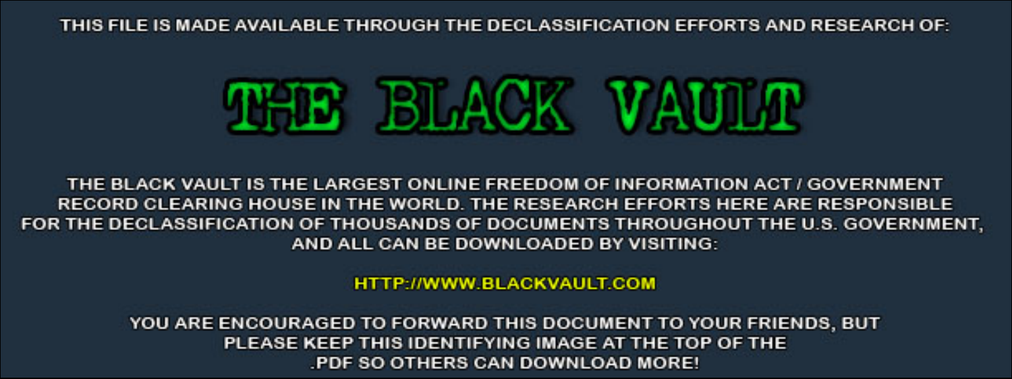THIS FILE IS MADE AVAILABLE THROUGH THE DECLASSIFICATION EFFORTS AND RESEARCH OF:



THE BLACK VAULT IS THE LARGEST ONLINE FREEDOM OF INFORMATION ACT / GOVERNMENT RECORD CLEARING HOUSE IN THE WORLD. THE RESEARCH EFFORTS HERE ARE RESPONSIBLE FOR THE DECLASSIFICATION OF THOUSANDS OF DOCUMENTS THROUGHOUT THE U.S. GOVERNMENT, AND ALL CAN BE DOWNLOADED BY VISITING:

**HTTP://WWW.BLACKVAULT.COM** 

YOU ARE ENCOURAGED TO FORWARD THIS DOCUMENT TO YOUR FRIENDS, BUT PLEASE KEEP THIS IDENTIFYING IMAGE AT THE TOP OF THE PDF SO OTHERS CAN DOWNLOAD MORE!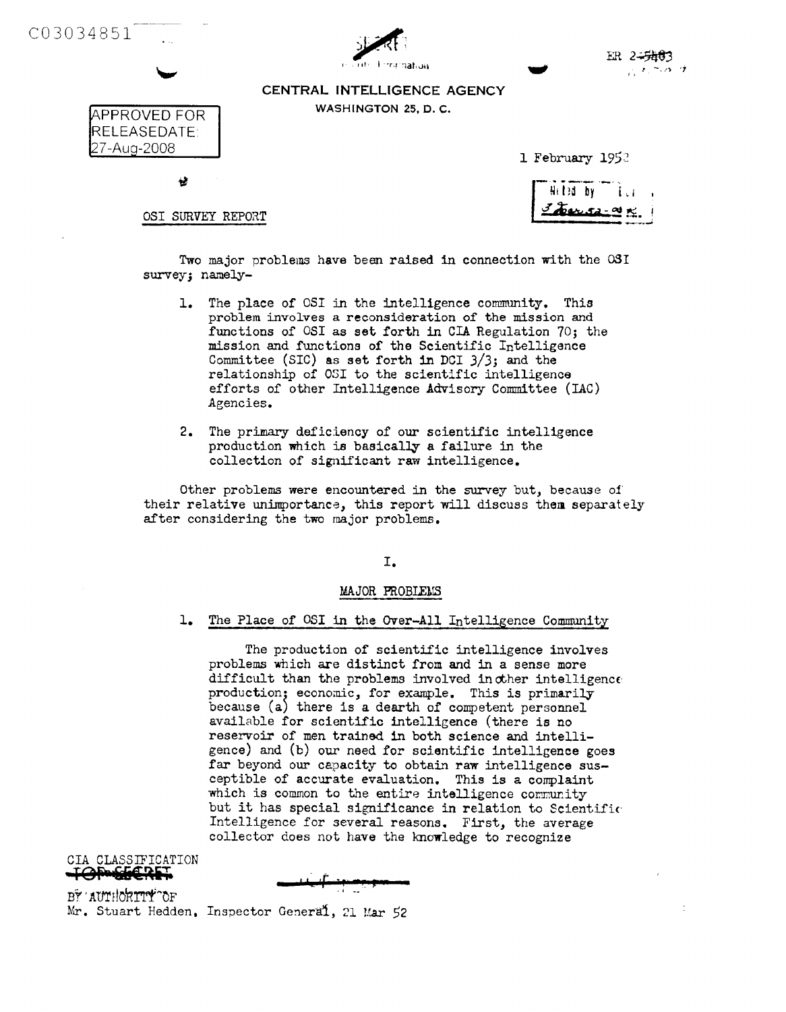<span id="page-1-0"></span>

| C03034851 |  |
|-----------|--|
|           |  |



ER 2-55503 ミミニュラ

### **CENTRAL INTELLIGENCE AGENCY**

WASHINGTON 25, D. C.

**APPROVED FOR RELEASEDATE:** 27-Aug-2008

*d* 

OSI SURVEY REPORT

1 February 1952

*Y* 

Heled by  $\overline{d}$ erga- $\alpha$   $\kappa$ 

Two major problems have been raised in connection with the  $031$ survey; namely-

- 1. The place of OS1 in the intelligence commnity. This problem **involves a** reconsideration of the mission and functions of OS1 **as** *set* forth in CIA Regulation 70; the mission **and** functions of the Scientific Intelligence Committee (SIC) as set forth in DCI **3/3;** and the relationship of **OS1** to the scientific intelligence efforts of other Intelligence Adxisory Committee (IAC) Agencies.
- 2. The **primaxy** deficiency of our scientific intelligence production which is basically a failure in the collection of significant raw intelligence.

Other problems were encountered in the surrey but, because of their relative unimportance, this report **will** discuss them separately after considering the two major problems.

**I.** 

#### **MAJOR** PROBLEB'S

# 1. The Place of OSI in the Over-All Intelligence Community

The production of scientific intelligence involves problems which are distinct from and in a sense more difficult than the problems involved in ther intelligence production; economic, for example. This is primarily because (aj there is a **dearth** of competent personnel available **for** scientific intelligence (there **is** no reservoir of men trained **in** both science and intelligence) and **(b)** our need for scientific intelligence goes **far** beyond our cayacity to obtain raw intelligence **sus**ceptible of accurate evaluation. This is a complaint which is common to the entire intelligence community but it **has** special significance in relation to Scientific. Intelligence for several reasons. First, the average collector does not have the howledge to recognize

CIA CLASSIFICATION

*<sup>I</sup>*-.

BY ' **Alf"IkhTPf;"bF**  Mr. Stuart Hedden, Inspector General, 21 Mar 52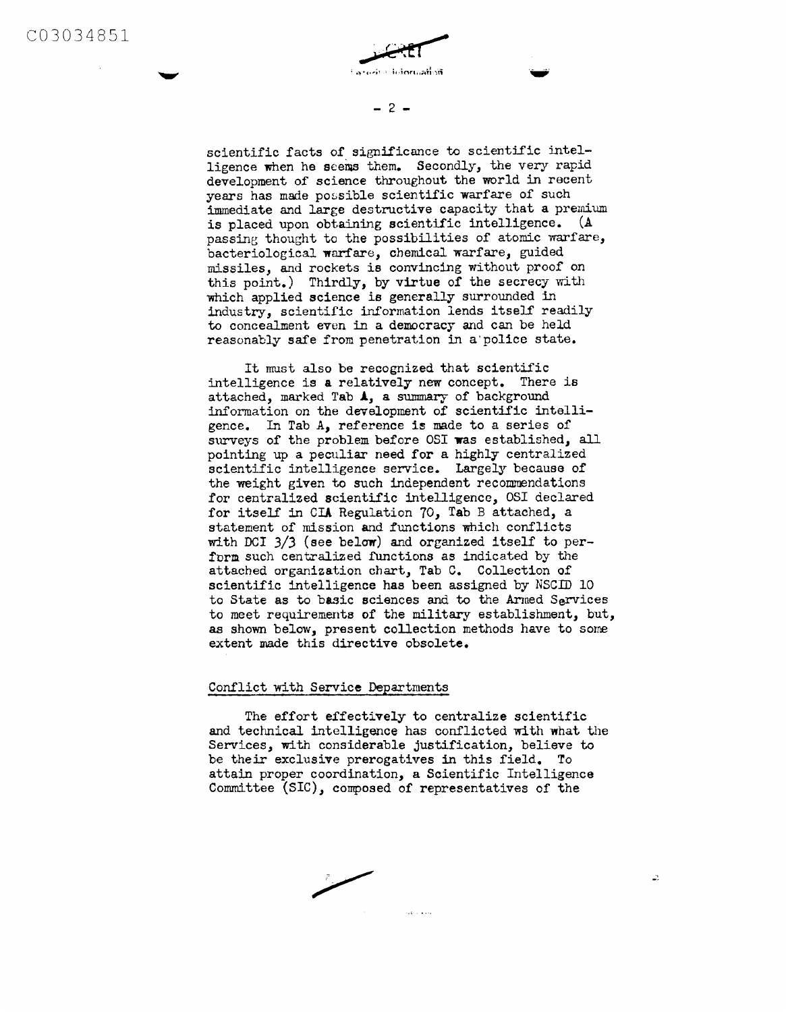**W** 



 $-2-$ 

scientific facts of significance to scientific intelligence when he seems them. Secondly, the very rapid development of science throughout the world in recent years has made possible scientific warfare of such immediate and large destructive capacity that **a prexnium**  is placed upon obtaining scientific intelligence. **(A**  passing thought to the possibilities of atomic warfare, bacteriological **warfare,** chemical warfare, guided missiles, and rockets is convhcing without proof on this point.) Thirdly, by virtue of the secrecy with which applied science is generally surrounded in industry, scientific information lends itself readily to concealment even in a democracy and can be held reasonably safe from penetration in a'police state,

It must also be recognized that scientific intelligence is **a** relatively new concept. There is attached, **marked** Tab **A,** a *sumrnaq* of background information on the development of scientific intelligence. In Tab **A,** reference **is** made to a series of surveys of the problem before OSI was established, all pointing up a peculiar need for a highly centralized scientific intelligence service. **Largely** because of the weight given to such independent recommendations for centralized scientific intelligence, OS1 declared for itself in **CIA** Regulation 70, Tab B attached, a statement of **mission and** functions which conflicts with DCI **3/3** (see below) **and** organized itself to perform such centralized functions as indicated by the attached organization chart, Tab C, Collection of scientific intelligence has been assigned by NSCID 10 to State **as** to basic Bciences **and** to the baed Services to meet requirements of the military establishment, but, **a8** shown below, present collection methods have to *some*  extent made this directive obsolete,

#### Conflict with Service Departments

The effort effectively to centralize scientific and technical intelligence has conflicted with what the Services, with considerable justification, believe to be their exclusive prerogatives in this field. **To** attain proper coordination, a Scientific Intelligence Committee (SIC), composed of representatives of the

 $\sim 10^{-10}$  km s  $\sim$ 

 $\mathbb{R}^2$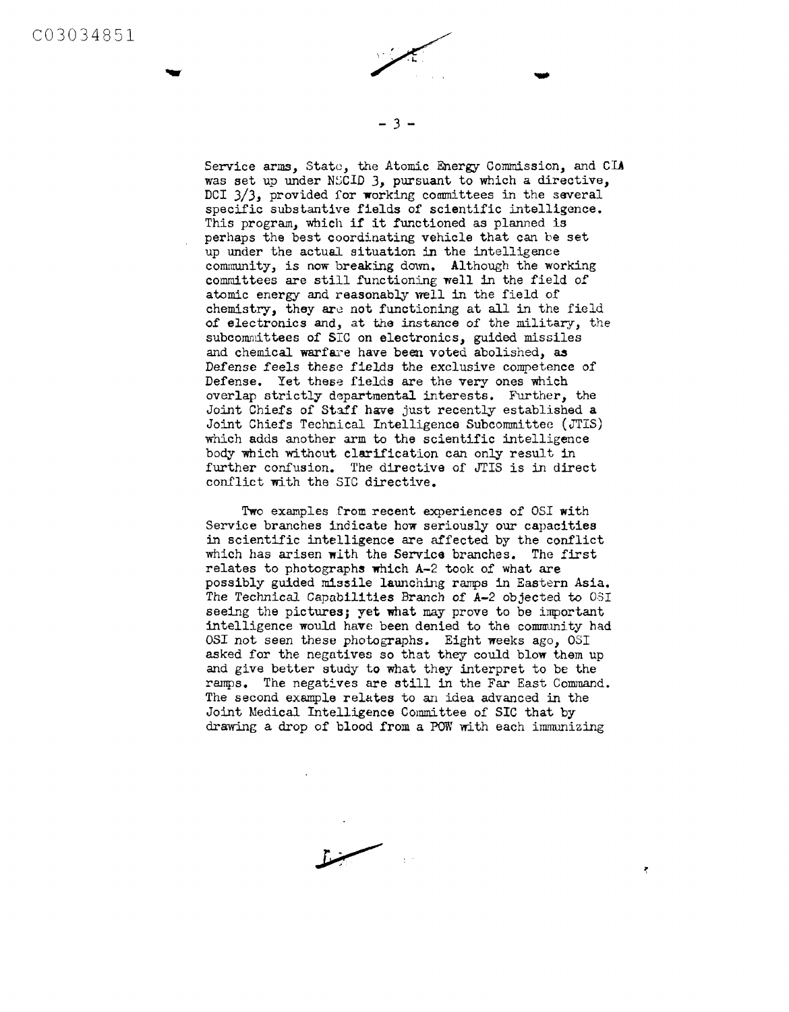**t** 

-3-

Service **arms,** State, the Atomic Energy Commission, and CIA was set up under **NGCID** 3, pursuant to which a directive, DCI **3/3,** provided **for** working committees in the several specific substantive fields of scientific intelligence. This program, which if it functioned as planned is perhaps the best coordinating vehicle that can be set up under the actual situation in the intelligence community, is now **breaking** dam. Although the **working**  committees are still functioning well in the field of atomic energy and reasonably well in the field of chemistry, they *are* not **functioning** at **all** in the **field**  of electronics **and,** at the *instance* of the military, the subcommittees of SIC on electronics, guided missiles and chemical warfare have been voted abolished, as Defense feels these fields the exclusive competence of Defense. Yet these fields are the very ones **which**  overlap strictly departmental interests. Further, the **Joint** Chiefs of Skdf **have** just recently established **a**  Joint Chiefs Technical Intelligence Subcommittee (JTIS) which adds another arm to the scientific intelligence *body* which without clarlfication can only result in further confusion. The directive of JTIS is in direct conflict with the SIC directive.

Two examples **from** recent experiences of **OS1** with Service branches indicate how seriously **our** capacities in scientific intelligence are affected by the conflict which has **arisen** with the Service branches. The **first**  relates to photographs which **A-2** took of what **are**  possibly guided rnissile launcliing *ramps* In Eastern **Asia.**  The Technical Capabilities Branch of **A-2** objected *to* 031 seeing the pictures; **yet mhat** may prove to **be** important intelligence **would** have been denied to the comruunity had *OS1* not seen these photographs. Eight weeks ago, OS1 **asked** for the negatives **so** that they could blow them **up**  and give better study to what they interpret to be the ramps. The negatives are still **in** the **Far** East **Command.** The second example relates to an idea advanced in the Joint Medical Intelligence Committee of SIC that by drawing a drop of blood from a POW with each immunizing

×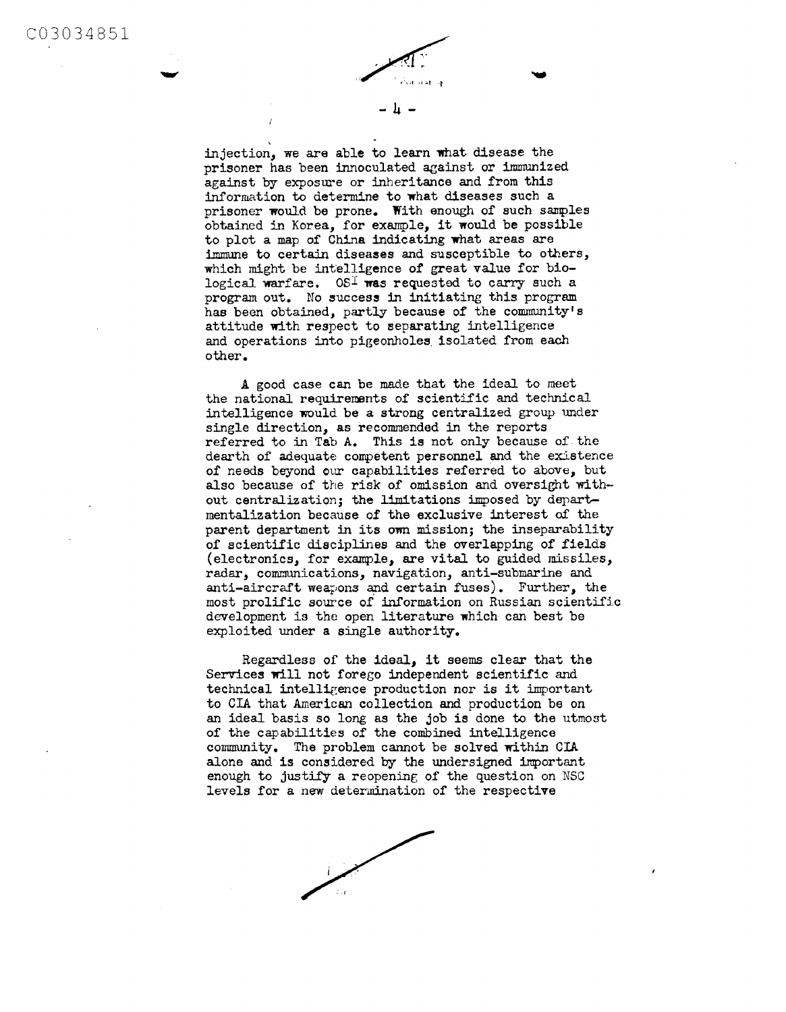

**Y** 

 $\frac{1}{4}$  -  $\frac{1}{4}$  -  $\frac{1}{4}$  -  $\frac{1}{4}$ 

injection, we are able to learn what disease the prisoner has been innoculated against or immunized against **by** exposure or inheritance **and** from this information to determine to what diseases such a prisoner **would** be prone. With enough of such samples obtained in Korea, for example, it **would** be possible to plot a **map** of China indicating what areas are immune to certain diseases and susceptible to others, which might be intelligence of great value for **bio**logical warfare. OS<sup>1</sup> was requested to carry such a program out. No **success** in initiating this program **has** been obtained, partly because of the communityls attitude with respect to separating intelligence and operations **into** pigeonholes isolated **from** each other.

**A** good case can be made that the ideal to meet the national requirements of scientific and technical intelligence muld be a **strong** centralized group under **single** direction, **as** recommended in the reports referred to in **Tab A.** This **is** not only because of the dearth of adequate competent personnel **and** the existence of needs beyond om capabilities referred to above, but **also** because of the risk of omission and oversight without centralization; the limitations imposed by departmentalization because of the exclusive interest *of* **the**  parent department in its *own* mission; the inseparability of scientific diaciplines and the overlapping of fields (electronics, for example, are vital to guided missiles, **radar,** communications, navigation, anti-subnarine and anti-aircraft weay,ons **and** certain fuses). Further, the most prolific source of information on Russian scientific development is the open literature which can best be exploited under a single authority.

Regardless of the ideal, it seems clear that the Services **will** not forego independent scientific **and**  technical intelligence production nor is it important to CIA that **American** collection **and** production be on an ideal. basis **so** long **as** the job is done to the utmost of the capabilities of the combined intelligence community. The problem cannot be solved within CIA **alone** and is considered **by the** undersigned important enough to justify a reopening of the question on NSC levels for a **new** deterinination of the respective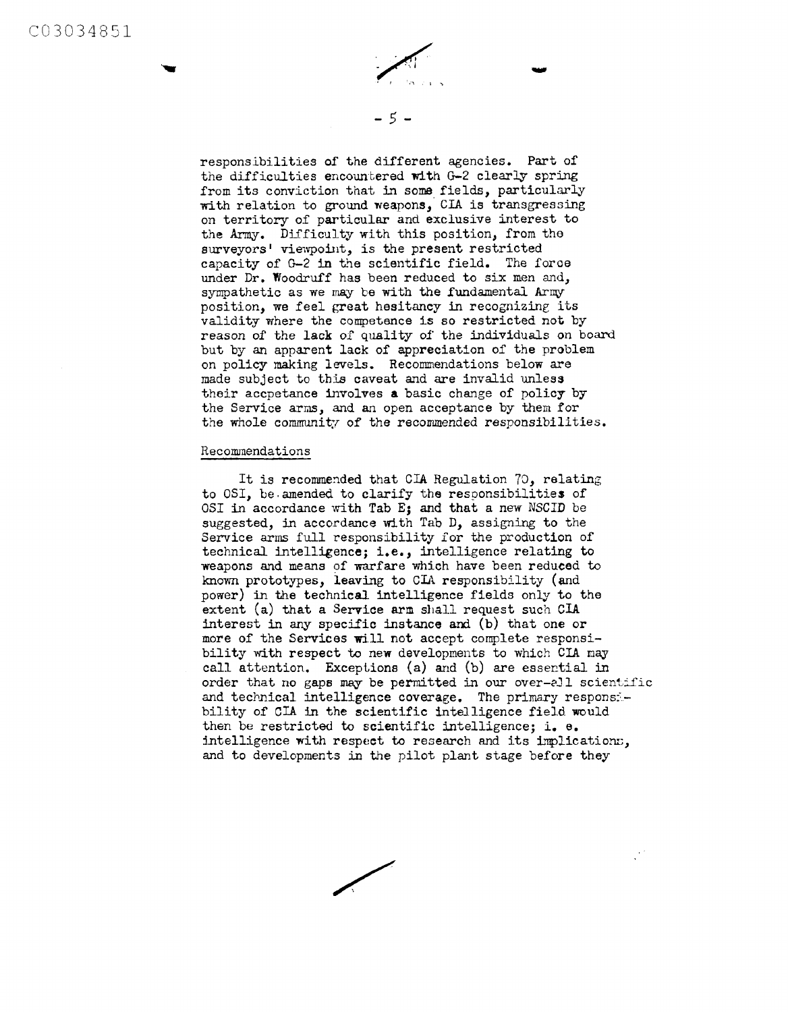**t** 



*-5-* 

responsibilities of the different agencies. Part of the difficulties encountered with G-2 clearly spring **from** its conviction that in **some** fields, particularly with relation to ground weapons, **CIA** is transgressing on territory of particular and exclusive interest to the Army. Difficulty with this position, from the surveyors' viewpoint, is the present restricted capacity of G-2 in the scientific field. The foroe under Dr. **Woodruff** has been reduced to **six** men and, sympathetic as we *may* **ke** with the fundamental **Arrqy**  position, we feel great hesitancy in recognizing **its**  validity where the competence **is** so restricted not by **reason** of the **lack** of quality of the individuals on bonrd but by **an** apparent **lack** of appreciation of the problem on policy making lwcls. Recommendations below are made subject to this caveat and are invalid **unless**  their accpetance involves a basic change of policy by the Service arm, and **an** open acceptance by them for the whole community of the recommended responsibilities.

#### Recommendations

It is recommended that CIA Regulation 70, relating to OSI, be amended to clarify the responsibilities of OS1 in accordance with Tab E; **and** that a new NSCID be suggested, in accordance with Tab D, assigning to the Service **arms** full responsibility for the production of technical intelligence; i.e., intelligence relating to weapons **and means of warfare** which have been reduced to known prototypes, leaving to CIA responsibility **(and**  power) in *the* technical intelligence fields only to the extent (a) that a **Service arm** shall request such **CIA**  interest in *any* specific instance **and** (b) that **one** or more of the **Services will** not accept complete responsibility with respect to new developments to which **CIA nay**  call attention. Exceptions (a) and (b) are essential in order that no gaps may be permitted in our over-all scientific order that ho gaps may be permitted in our over-end scientill<br>and technical intelligence coverage. The primary responsibility of CIA in the scientific intelligence field **would**  then be restricted to scientific intelligence; i. e. intelligence with respect to research and its implicatiom, and to developments in the pilot plant stage before they

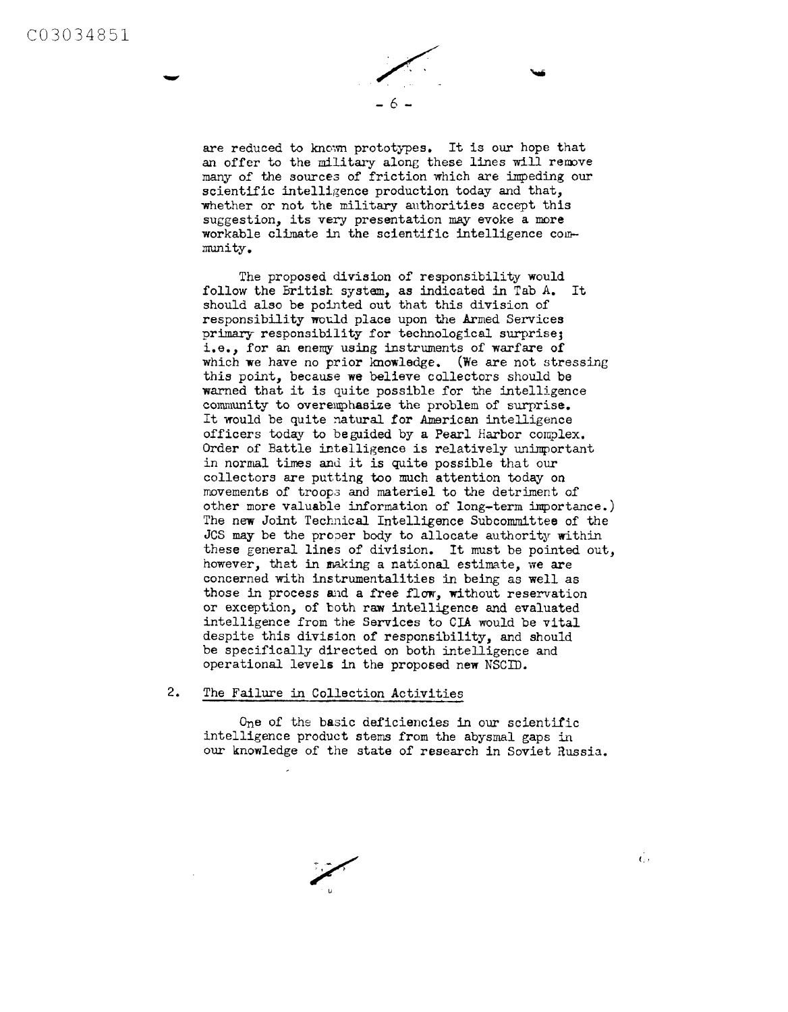**<sup>W</sup>**Y -6-

are reduced to known prototypes. It is our hope that an offer to the military along these lines will remove many of the sources of friction which **are** impeding our scientific intelligence production today and that, whether or not the military authorities accept this suggestion, its very presentation *may* evoke a more workable climate in the scientific intelligence community.

The proposed division of responsibility would follow the britist system, **8s** indicated in **Tab** A. It should also **be** pointed out that this division of responsibility **would** place upon the Armed Services primary responsibility for technological surprise; i.e., for an enemy using instruments of warfare of which **we** have no prior knowledge. (We are not stressing this point, because **we** believe collectors should be warned that it is quite possible for the intelligence comiunity to overemphasize the **problem** of **surprise.**  It would be quite natural for American intelligence officers today to beguided by a Pearl Harbor complex. Order of Battle intelligence **is** relatively unimportant in normal times and it is quite possible that our collectors are putting **bo** much attention today on movements of troops and materiel to the detriment of other more valuable information of long-term importance. ) The new Joint Technical Intelligence Subcommittee of the JCS may be the proper body to allocate authority within these general lines of division. It must be pointed out, however, that in **making a** national estimate, **we** are concerned with instrumentalities in being as well **as**  those in process and a free flow, without reservation or **exception,** of both **raw** intelligence **and** evaluated intelligence **from** the Services to CIA would **be** vital despite this division of responsibility, and should be specifically directed on both intelligence and operational levels in the **proposed new NSCID.** 

#### 2. The Failure in Collection Activities

One of the basic deficiencies in our scientific intelligence product stems from the abysmal gaps in our knowledge of the state of research in Soviet Russia.

 $\mathbb{Z}$ U

Ġ.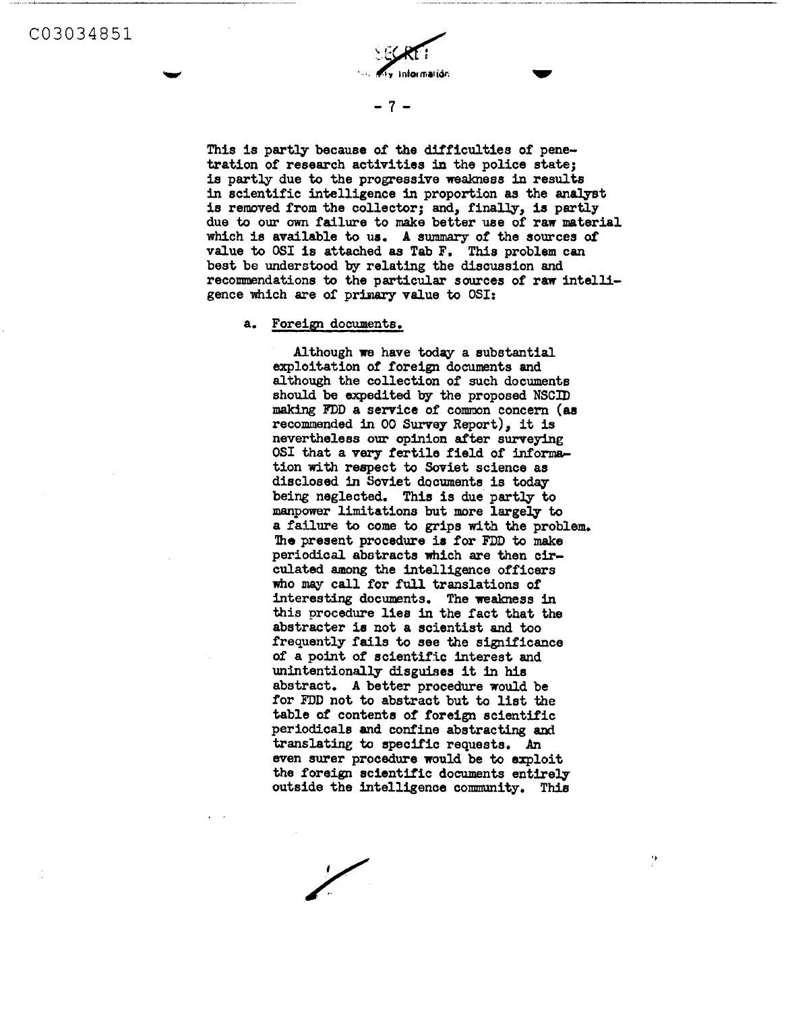

**-7-** 

This is partly because of the difficulties of penetration of research activities **in** *the* police state; is partly due to the progressive **weakness in** results in scientific intelligence in proportion as the analyst is removed fromthe collector; and, finally, *is* partly due to **our am failure** to **make** better **use** of raw material which *is* available to **ua. A summary** of **the** sources *of*  **value** to **OSI is** attached **as Tab F. This** problem **can**  best be understood **by** relating the discussion **and**  reconmendations to the particular sources of **raw** intelUgence which are **of** primary **value** to OSI:

#### a. Foreign documents.

Although **we have** *today* a substantial exploitation of foreign documents **and**  although the collection of **such** documents **should be** expedited **by** the proposed **NSCJD**  *makfng* **FDD** a service of common concern **(as**  recommended in 00 **Survey** Report), it is nevertheless **our opinion** after surveying **OS1** that **a very** fertile field of informstion **mith** respect to Soviet science **as**  disclosed in Soviet documents *is* today being neglected. **This** is due partly to manpower limitations but **more** largely to **a** failure to come to gripe *with* the problem. **'lhe** present procedure is for **FDD** to **make**  periodical abotracts which **are then** circulated *among* the intelligence officers **who** *may* call **for** full translations **of**  interesting documents. **The weakness in this** procedure lies **in** the fact that the abstracter **is** not **a** scientist **and** too frequently fails to see the significance *of* **a** point of scientific interest and unintentionally disgubes it in **his**  abstract. **A** better procedure **would** be for **FDD** not to abstract but to list *the*  table of contents of foreign scientific periodicals **and** confine abstracting **and translating** to specific **requests. An**  even surer procedure would be to exploit the foreign scientific documents entirely outside the intelligence community. **This** 

9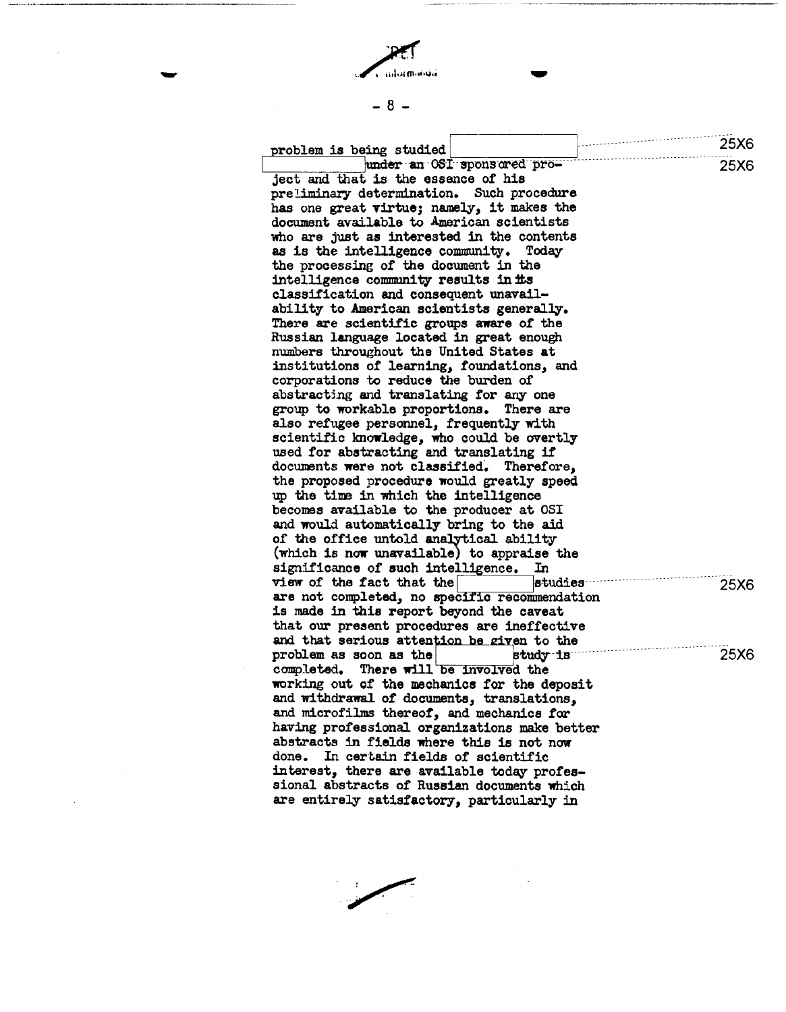**Carlonmonde** 

 $\hat{\mathcal{A}}$ 

 $\bar{\beta}$ 

**-8-** 

| problem is being studied                                                                   | 25X6 |
|--------------------------------------------------------------------------------------------|------|
| under an OSI sponsored pro-                                                                | 25X6 |
| ject and that is the essence of his                                                        |      |
| preliminary determination. Such procedure                                                  |      |
| has one great virtue; namely, it makes the                                                 |      |
| document available to American scientists                                                  |      |
| who are just as interested in the contents                                                 |      |
| as is the intelligence community. Today                                                    |      |
| the processing of the document in the                                                      |      |
| intelligence community results in its                                                      |      |
| classification and consequent unavail-                                                     |      |
| ability to American scientists generally.                                                  |      |
| There are scientific groups aware of the                                                   |      |
| Russian language located in great enough                                                   |      |
| numbers throughout the United States at                                                    |      |
| institutions of learning, foundations, and                                                 |      |
| corporations to reduce the burden of                                                       |      |
| abstracting and translating for any one                                                    |      |
| group to workable proportions. There are                                                   |      |
| also refugee personnel, frequently with                                                    |      |
| scientific knowledge, who could be overtly                                                 |      |
| used for abstracting and translating if                                                    |      |
| documents were not classified.<br>Therefore,<br>the proposed procedure would greatly speed |      |
| up the time in which the intelligence                                                      |      |
| becomes available to the producer at OSI                                                   |      |
| and would automatically bring to the aid                                                   |      |
| of the office untold analytical ability                                                    |      |
| (which is now unavailable) to appraise the                                                 |      |
| significance of such intelligence. In                                                      |      |
| view of the fact that the<br>studies                                                       |      |
| are not completed, no specific recommendation                                              | 25X6 |
| is made in this report beyond the caveat                                                   |      |
| that our present procedures are ineffective                                                |      |
| and that serious attention be given to the                                                 |      |
| problem as soon as the<br>study is                                                         | 25X6 |
| There will be involved the<br>completed.                                                   |      |
| working out of the mechanics for the deposit                                               |      |
| and withdrawal of documents, translations,                                                 |      |
| and microfilms thereof, and mechanics for                                                  |      |
|                                                                                            |      |
|                                                                                            |      |
| having professional organizations make better                                              |      |
| abstracts in fields where this is not now<br>In certain fields of scientific<br>done.      |      |
|                                                                                            |      |
| interest, there are available today profes-<br>sional abstracts of Russian documents which |      |

*V*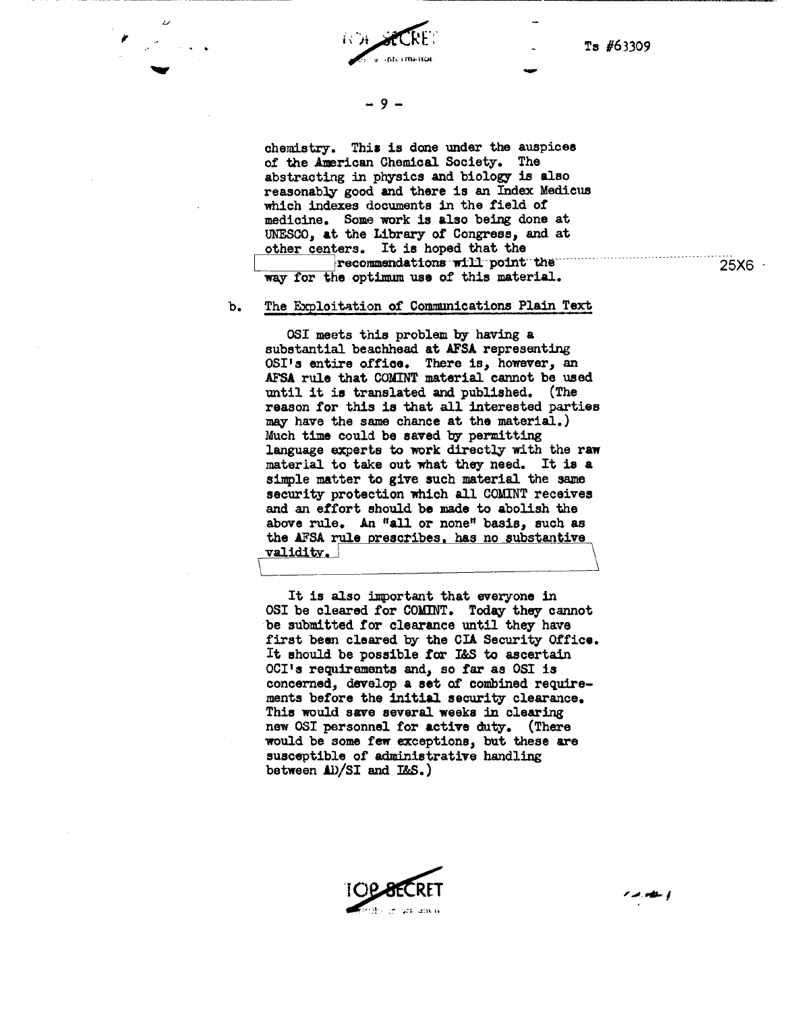$Ts$  #63309



*i/*  **<sup>c</sup>**.. ..

*-9-* 

chemistry. This **is** done **under** the auspices of the American Chemical Society. The abstracting in physics and biology **is also**  reasonably **good** and there **is an Index Medicus**  which indexes documents *in* the field of medicine. **Some** work is also being done at **UNESCO,** at the **Library of** *Congre6s~* and at ontsou, at the hiorary of congress, and at<br>
other centers. It is hoped that the<br>
<u>recommendations will</u> point the **way for the optimum use of this material.** 

## b. The Exploitation *of* Communications **Plain** Text

**OS1** meets **this** problem **by** having **a**  substantial beachhead at **AFSA** representing **OSIIa** entire offioe. There **is,** homer, **an**  AFSA rule that COMINT material cannot be used until it is translated and published. (The until it is translated and published. reason **for** this **is that all** interested parties *may* have the same chance at the material.) Much time could **be** saved **by** permitting language experts to work directly with the raw material to take out what **they** need. It is **<sup>a</sup>** simple matter to give such material the same security protection which **all COMINT receives and** an effort should be **made** to **abolish** the above rule. **An Ifall** or none" **basis,** such **as the USA rule** prescribes. **has** no substantive and an above r<br>the AFS<br>validit validity. ceives<br>the<br>ch as<br>ative<br>and a

It is **also** important that everyone in **OS1** be cleared for **CO16INT. Today** they **cannot**  be submitted for **clearance** until they have **first** been cleared **by** the **CU** Security Office. It should be possible **far** I&S **to** ascertain **OCI's** reqpirements and, **so far as** OS1 *is*  concerned, **develop** a *set of* **combined** require**ments** before the initial security clearance. This would save several weeks in clearing new OS1 personnel **for** active duty. (There **would** be **some few** exceptions, **but** these **are**  susceptible of administrative handling between **U/SI and** T&S.)



....  $25X6$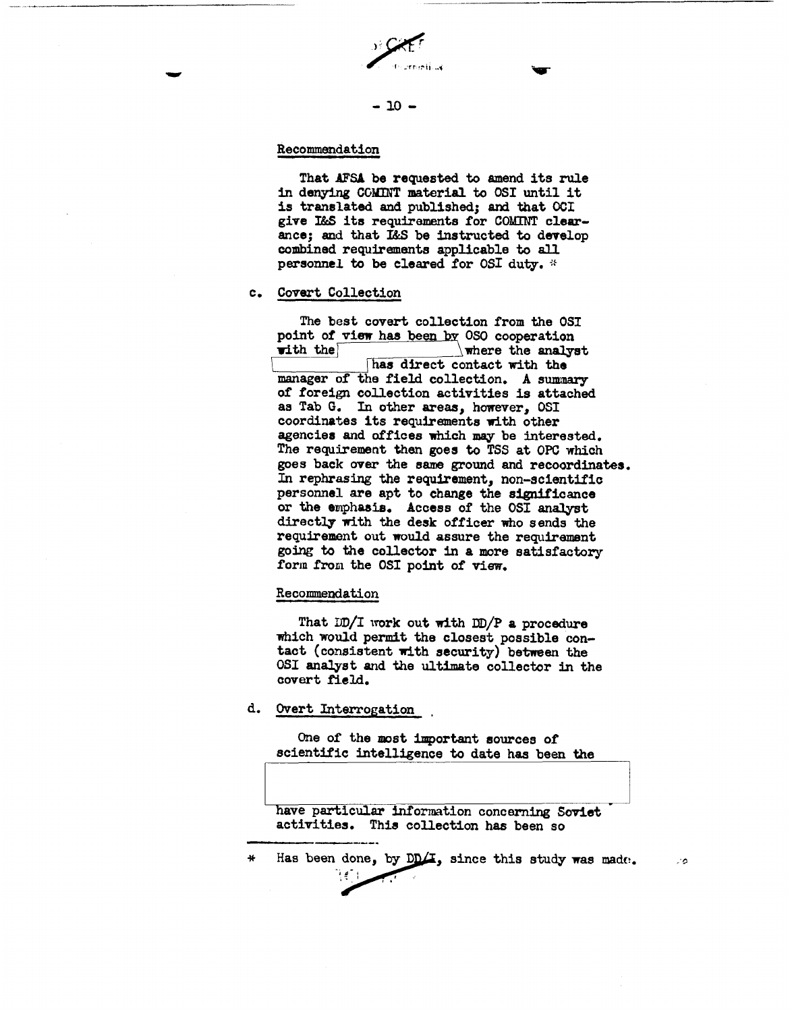

- **10** -

#### Recommendation

That *AFSA* be requested to **amend** its rule in denying **CGMINT** material to **OS1** until it **is** translated **and** published; **and** that **OCI**  give I&S its requirements for COMINT clearance; and that I&S be instructed to develop combined requirements applicable to all personnel **to** be cleared for **OS1 duty.** 

#### C. Covert Collection

The best covert collection from **the OS1**  point of view has been by 0S0 cooperation<br>with the  $\sqrt{\frac{m}{m}}$ with the **where** the analyst manager of the field collection. A summary *of* foreign collection activities is attached **as Tab** G. In other **areas,** hovrever, **OS1**  coordinates its requirements **with** other agencies **and** offices which *may* be interested. **The** requirement **then** goes to **TSS** at **OPC** which goes back *over* **the same ground and recoordinates.**  In **rephrasing** the requirement, non-scientific personnel are apt to **change** *the* slgnificance or the **emphasis.** Access of the **OS1** analyst directly with **the desk** officer **who** sends the requirement **out** would assure the requirement going to **the** collector **in** a more satisfactory **form** fron the **OS1** point **of view. Example 11** and the sequence of the sequence of the sequence of the sequence of the sequence of the sequence of the sequence of the sequence of the sequence of the sequence of the sequence of the sequence of the sequence **ha8** direct contact **with the** 

#### Recommendation

That **9D/I** work out with **DD/P a** procedure which **would** permit the closest possible contact (consistent with security) between **the OS1** analyst and **the** ultimate collector in the covert **field.** 

d. Overt Interrogation .

**One of** the most **important** sources **of**  scientific intelligence to **date** has been **the** 

have particular information concerning **Soviet**  activities. This collection **has** been **so** 

Has been done, by DD $/I$ , since this study was made.

-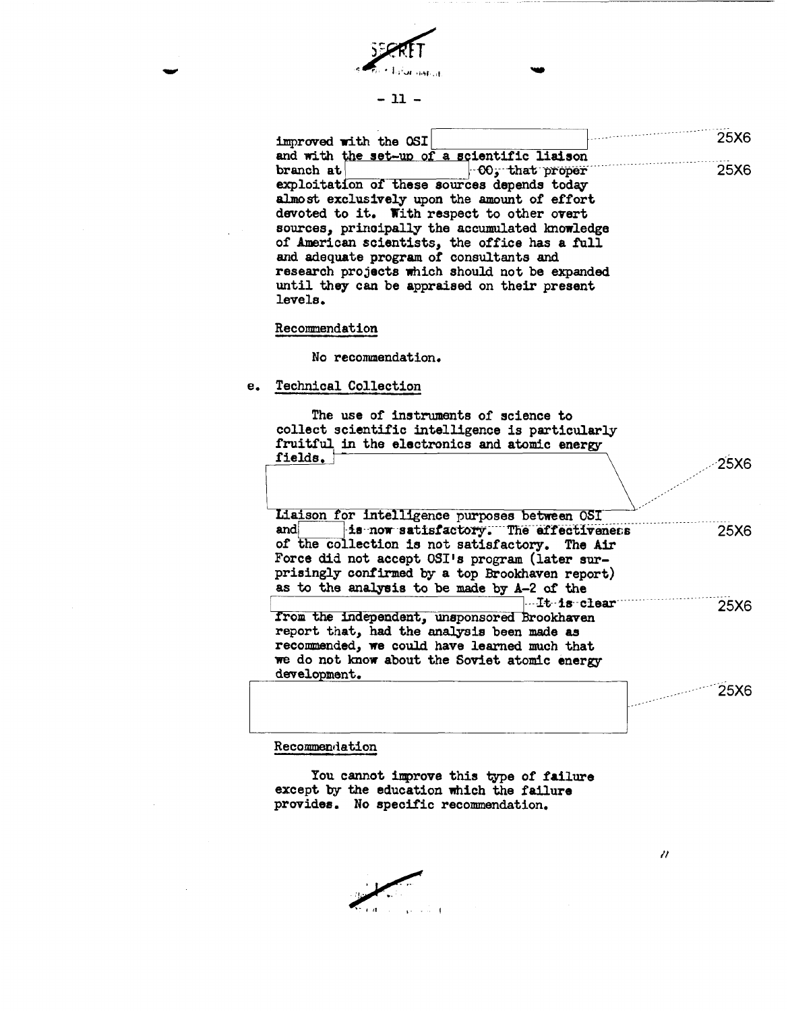

### $-11 -$

| improved with the OSI                   |                                                | 25X6 |
|-----------------------------------------|------------------------------------------------|------|
|                                         | and with the set-up of a scientific liaison    |      |
| $branch$ at $ $                         | $-60$ . that proper                            | 25X6 |
|                                         | exploitation of these sources depends today    |      |
|                                         | almost exclusively upon the amount of effort   |      |
|                                         | devoted to it. With respect to other overt     |      |
|                                         | sources, principally the accumulated knowledge |      |
|                                         | of American scientists, the office has a full  |      |
| and adequate program of consultants and |                                                |      |
|                                         | research projects which should not be expanded |      |
|                                         | until they can be appraised on their present   |      |
| levels.                                 |                                                |      |
|                                         |                                                |      |

## Recommendation

#### No recommendation.

#### Technical Collection  $e_{\bullet}$

The use of instruments of science to collect scientific intelligence is particularly fruitful in the electronics and atomic energy fields.  $25x6$ Liaison for intelligence purposes between OSI and is now satisfactory. The effectiveness 25X6 of the collection is not satisfactory. The Air Force did not accept OSI's program (later surprisingly confirmed by a top Brookhaven report) as to the analysis to be made by A-2 of the  $\cdots$ It is clear 25X6 from the independent, unsponsored Brookhaven report that, had the analysis been made as recommended, we could have learned much that we do not know about the Soviet atomic energy development. 25X6

#### Recommendation

You cannot improve this type of failure except by the education which the failure provides. No specific recommendation.



 $\boldsymbol{\eta}$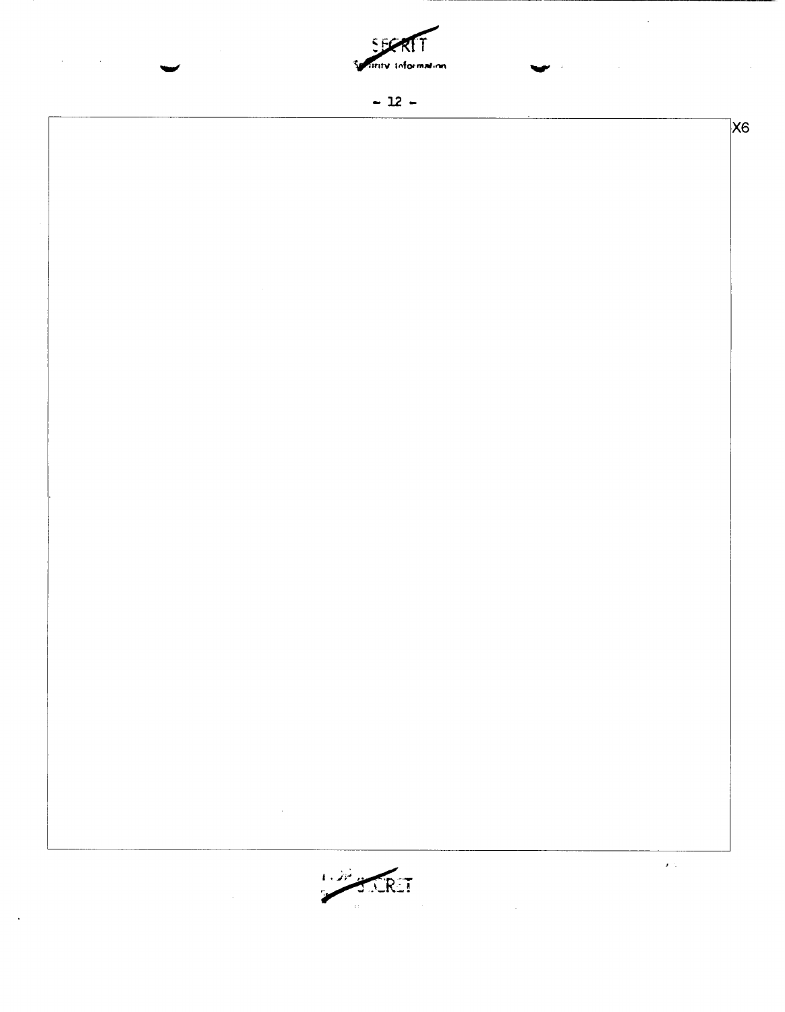

**WAS TRET**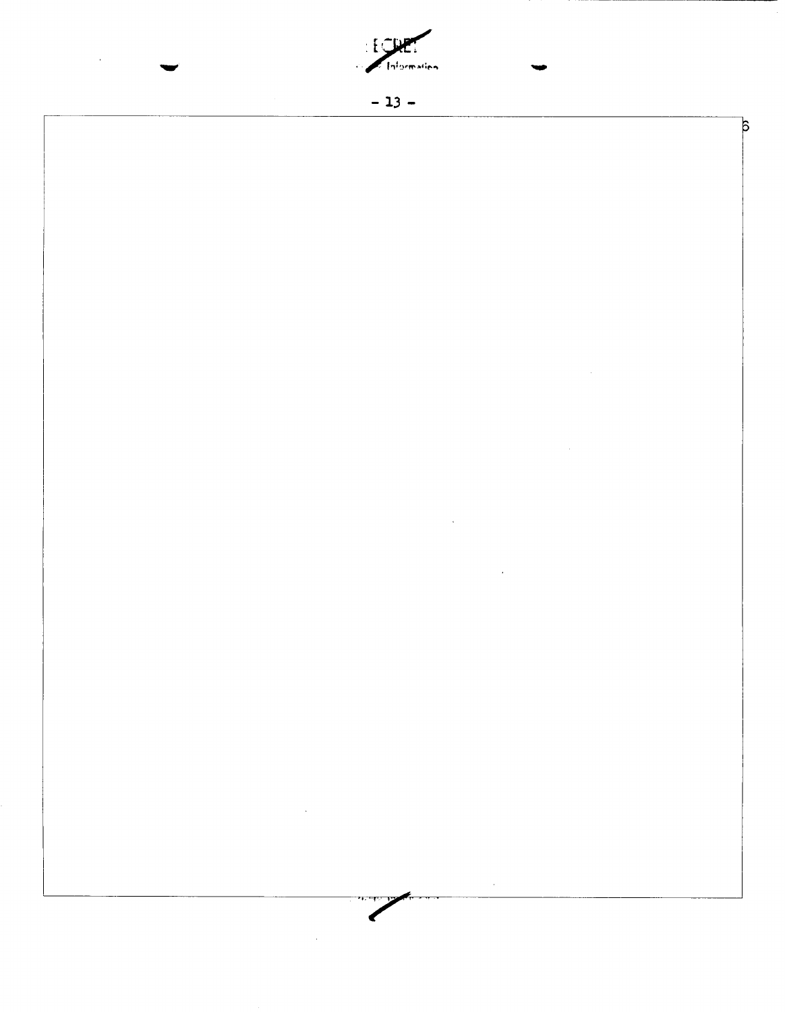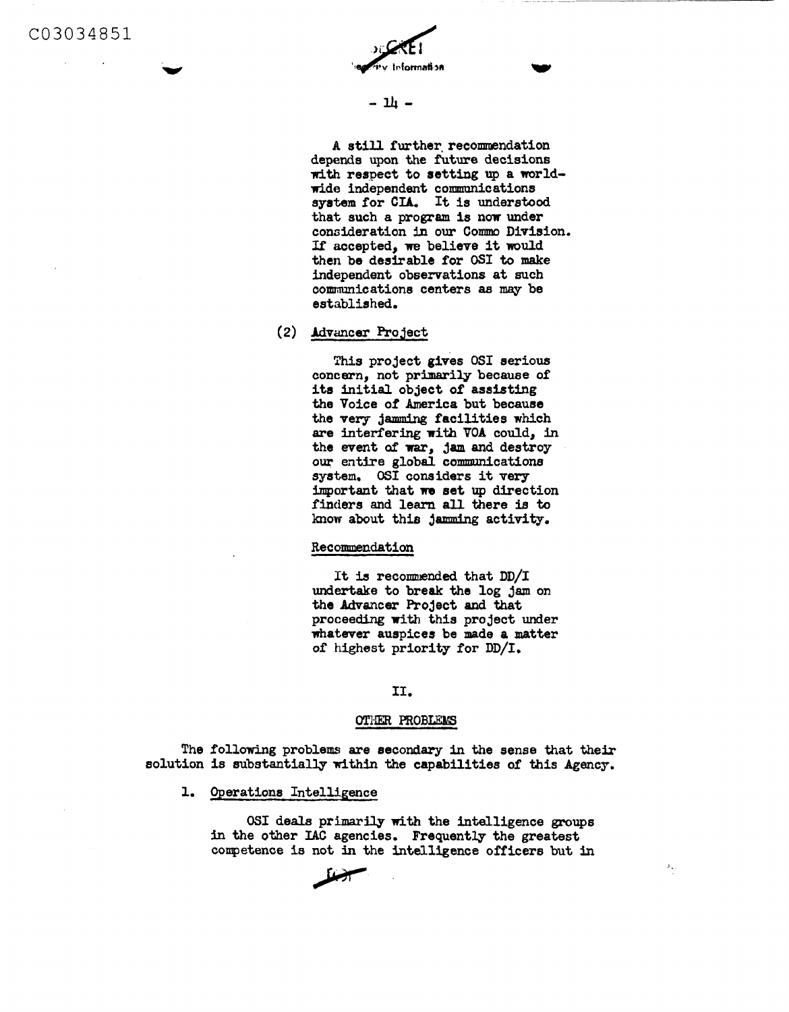**WE WARDED THE WARDED WAS ARRESTED FOR THE WARDED WARDED WAS ARRESTED FOR THE WARDED WARDED WAS ARRESTED FOR THE WARDED WARDED WAS ARRESTED FOR THE WARDED WARDED WAS ARRESTED FOR THE WARD TO THE WARD TO THE WARD TO THE WAR** 

- 과 -

A still further recommendation depends upon **the future** decisions **with.** respect to setting up a worldwide independent communications syatem **for CIA.** It is understood that **such** a program **is now** under consideration in our Commo Division. If accepted, **we** believe it **would**  then **be** desirable **for OS1** to *make*  independent observations at such communications centers **a8** may be established.

#### **(2)** Advancer Project

**This** project gives OS1 serious concern, not primarily because of **its** initial object of assisting *the* **Voice of** America but because **the** very **jamming** facilities which *are* interfering **uith VOA** could, **in**  the event *of* **war, Jam and destroy**  our entire global communications system. **OS1** considers it **very**  important that we set up direction **finders and learn all** there is to **know** about this **Japnning** activity.

#### Recommendation

It **is** recommended that DD/I **undertake** to break **the** log **jam** on **the** Advancer Project **and** that proceeding **with** this project under uhatever auspices be made **a** matter of highest priority for DD/I.

#### **11.**

#### **OTHER PROBLEMS**

**The** following problems are secondary in the sense that **their**  solution **is** substantially **within** the capabilities of this *Agency.* 

#### 1. Operations Intelligence

**OS1 deals** primarily **with** the intelligence **groups in the** other **IAC** agencies. Frequently the greatest competence **is** not **in** the intelligence **officers** but **in** 

 $\ell_{\star}$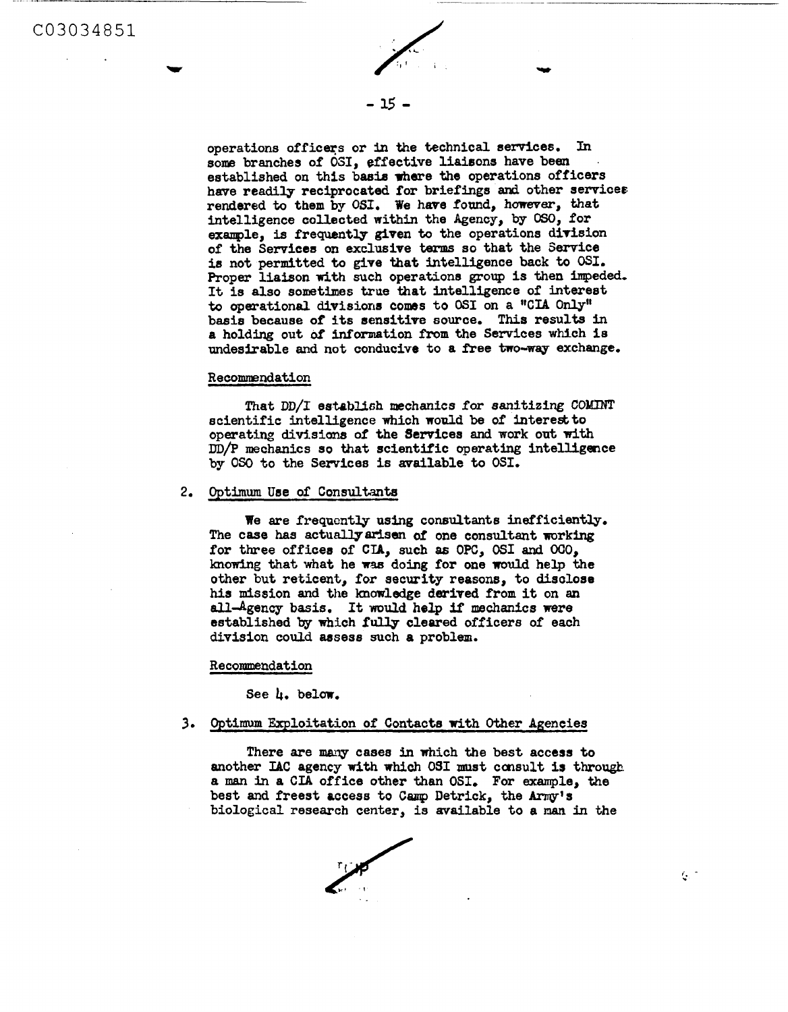

- 15 -

operations officqs **or** in the technical. services. **some** branches of **031,** effective liaisons have been established on **this** bssia **where the** operations officers have readily reciprocated **for briefings and** other servicee rendered to them **by OSI. We** *have* **found,** however, that intelligence collected **within** the Agency, **by** OSO, for exangle, is frequently given to the operations division of the Services on exclusive terms **so** that the Service **is** not permitted to **give** that intelligence back to **OSI.**  Proper liaison with such operations group is then impeded. It **is also** sometimes **true** that intelligence **of** interest to operational divisions comes to OSI on a "CIA Only" basis because **of** its sensitive source. **This results** in **a** holding out *of* 3nformation **from** the Services which **is**  undesirable and not conducive to a free two-way exchange. In .

#### Recommendation

That DD/I establish mechanics for sanitizing COMINT scientific intelligence which **would be** of interestto operating **divisions** of the Services **and work** out **with**  DD/P mechanics so that scientific operating intelligence **by OS0** to the **Services** is available to *0%* 

#### **2.** Optimum **Use** *of* Consultants

We are frequently **using** consultants inefficiently. The **case has** actuallyarlsen *of* **one** consultant **working**  for three offices of **CIA,** such **as OPC, OS1 and NO,**  knowing that what he was doing for one would help the other but reticent, for security reasons, to **disolose his** mission and the howledge derived from it on **an all-ggency basis.**  It *would* help **if** mechanics **were**  established **by** which **fully** cleared officers of each division could **assess** such **a** problem.

Recommendation

See 4. below.

#### **3.** Optimum Exploitation of Contacts with Other Agencies

There are many cases in which the best access to another **UC** agency with **which OS1 must** cmsult **is througk**  a m **in a CIA** office other **than OSI. For example, the**  best **and** freest access to *Camp* Detrick, the **Anrgrls biological** research center, **is** available to **a** man in the

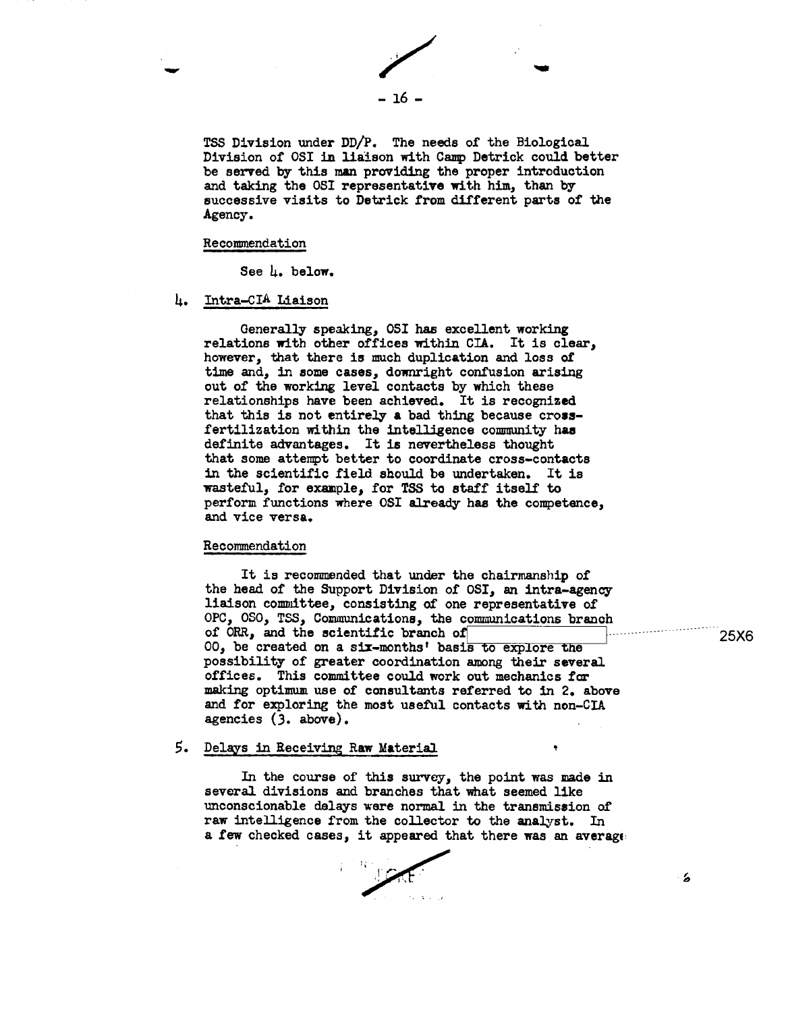

**TSS** Division under **DD/P.**  The needs of the Biological Division of **OS1** in **liaison** wlth *Camp* Detrick could better be served **by** this man providing the proper introduction **and** taking the **OS1** representative with him, than **by**  successive visits to Detrick **from** different parts of the Agency.

#### Recommendation

See 4. below.

#### 4. Intra-CIA Liaison

Generally speaking, **OS1 has** excellent **working**  relations with other offices within **CIA.**  It is clear, however, that therz is much duplication **and loss** *of*  time and, in **some** cases, dormright confusion **arising**  out of **the** working level contacts by which these relationships have been achieved. It is recognized that this is not entirely **a** bad thing because crossfertilization **within** the intelligence community haa definite advantages. It is nevertheless thought that **some** attempt better to coordinate cross-contacts **in** the scientific field **should** be undertaken. It *is*  wasteful, **for** example, for TSS to staff itself to perform functions where **OS1** *already* haa **the** competence, and vice versa.

#### Recommendation

It is recommended that under the chairmanship of the head of the Support Division of OSI, an intra-agency liaison committee, consisting of one representative of OPC, OSO, TSS, Communications, the communications branch of of ORR, and the scientific branch of **25X6** of **ORR, and** the scientific branch o 00, be created on a six-months' basis to explore the possibility of greater coordination among their several offices. This committee could work out mechanics for making optimum use of consultants referred to in 2. above and for exploring the most useful contacts with non-CIA agencies  $(3.$  above).

## *5.* Delays **in** Beceiving Raw Material **<sup>t</sup>**

In the course of **this** *survey,* the point was **made** in several divisions and branches that what seemed **like**  unconscionable delays **were** normal in the transmission *of*  raw intelligence from the collector to the analyst. In a **few** checked cases, it appeared that there was **an** avaragt



...~..

Ъ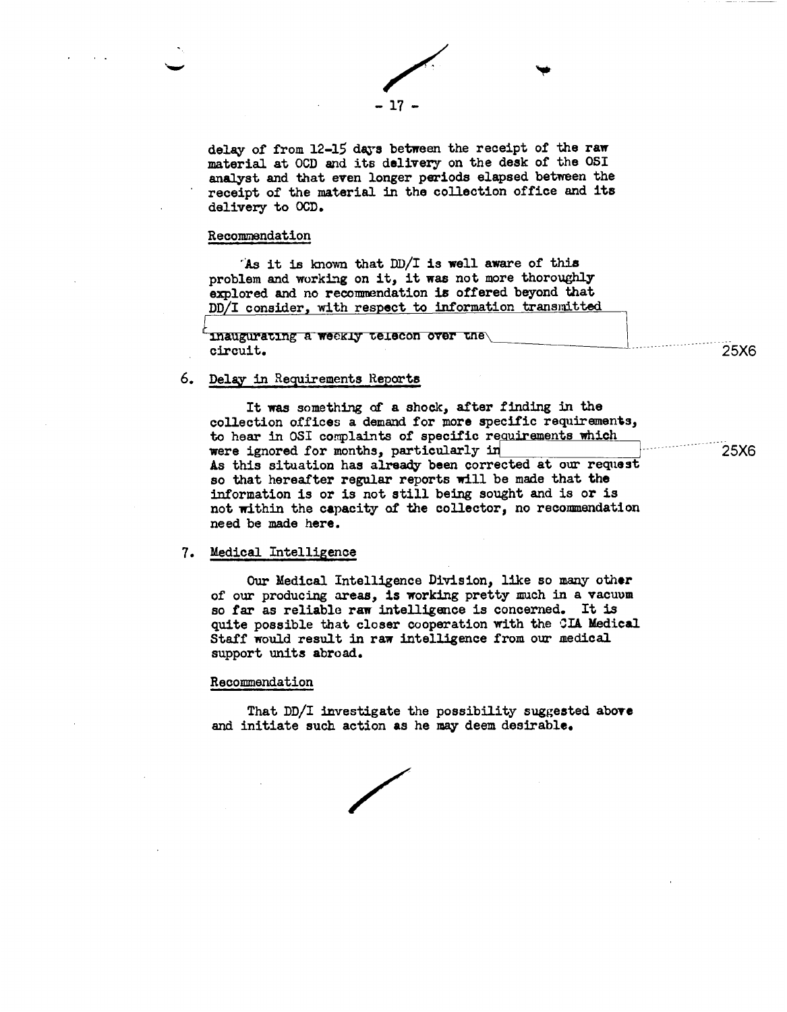

delay of from 12-15 days between the receipt of the raw material at **OCD and** its delivery on the desk of the **OS1**  analyst and that even longer **periods** elapsed between the receipt **of** the material **in** the collection office and its delivery to OCD.

#### Recommendation

'As it is known that  $DD/I$  is well aware of this problem and **working** on it, it **was** not more thoroughly explored **and** no recommendation **is** offered beyond **that**  DD/I consider, with respect **to** information transmitted

inaugurating a weekly telecon over the .. circuit. 25x6

1

#### 6. Delay **In** Requirements Reports

It **was** somethhg *af* **a shock,** after finding in **the**  collection offices a **demand for** more specific requirements, to hear in **OS1** complaints **of** specific reaujrements which were ignored for months, particularly in As this situation has already been corrected at our request **so that** hereafter regular reports **will** be made that **the**  information is or is not still being sought and is or is not within the capacity *of the* collector, no recommendation need be **made** here. 25x6

#### 7. Medical Intelligence

Our Nedical Intelligence **Division, like so many other**  of **our** producing **areas, is working** pretty much **in** a **vacuum so far as** reliable raw **intelligence is** concerned. It **is**  quite possible that closer cooperation with **the** CUL Medical Staff would result in raw intelligence from our medical support units abroad.

#### Recommendation

That **DD/I** investigate the possibility suggested above **and** initiate **such** action **as** he *may* **deem** desirable.

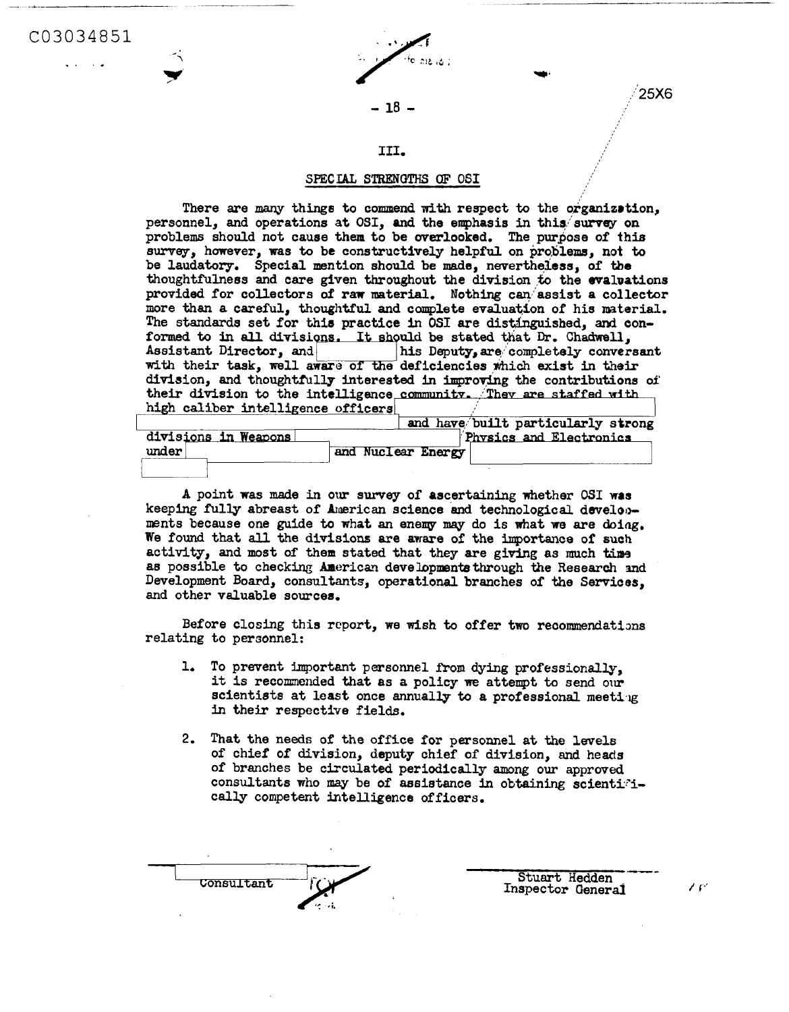**Y'** 



- 18 -

#### **111.**

#### **SPECIAL STRENGTHS QF 061**

There are many things to commend with respect to the organization, personnel, and operations at OSI, and the emphasis in this survey on problems should not cause them to be overlooked. The purpose of this survey, however, was to be constructively helpful on problems, not to be laudatory. Special mention should be made, nevertheless, of **tba**  thoughtfulness and care given throughout the division to the evaluations provided for collectors of raw material. Nothing can assist a collector more than a careful, thoughtful and complete evaluation of his material. The standards set for **this** practice **In OS1** are distdnguished, **and oon**formed to in all divisions. It should be stated that Dr. Chadwell, Assistant Director, and his Deputy, are completely conversant with their task, well aware of the deficiencies which exist in their process of the purpose of the purpose of the purpose of the purpose of the thoughtfulness and care given throughout the division to the evaluation be laudatory. Special mention should be made, nevertheless, of the thoughtf division, and thoughtfully interested in improving the contributions of their division to the intelligence community. They are staffed with

|                      | and have built particularly strong |  |
|----------------------|------------------------------------|--|
| divisions in Weapons | Physics and Electronics            |  |
| under                | and Nuclear Energy                 |  |
|                      |                                    |  |

A point was **made** in **ow snrvey** of ascertaining whether **OS1 was**  keeping fully abreast of American science and technological developrents because one guide to what **an** enemlg *may* do *is* what **we** *are* doing. We found that **all the** divisions are **aware of** the **importance** of **such**  activity, and most of them stated that they are giving as much time as possible to checking American developments through the Research and Development Board, consultants, operational branches of **the Services,**  and other valuable sources.

Before closing this report, we wish to offer two recommendations relating to personnel:

- **1,** To prevent important **personnel from** *dying* professionally, it **is** recornended **that as a policy we** attempt to send *our*  scientists at least once annually to *a* professional meeti *g*  in their respective **fields.**
- **2.** That the **needs** of **the** office for personnel **at** the level6 of chief of **division,** deputy chief *of* division, and heads of branches be circulated periodically *among* our approved consultants **who** *may* be of assiatance **in** obtaining scienti'ically competent intelligence officers.

**Consultant** 

Stuart Hedden Inspector General

,..'25X6

 $\prime$   $\Gamma'$